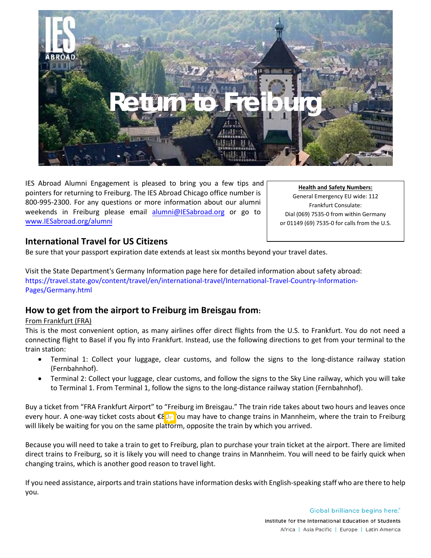

IES Abroad Alumni Engagement is pleased to bring you a few tips and pointers for returning to Freiburg. The IES Abroad Chicago office number is 800-995-2300. For any questions or more information about our alumni weekends in Freiburg please email [alumni@IESabroad.org](mailto:alumni@IESabroad.org) or go to [www.IESabroad.org/alumni](http://www.iesabroad.org/alumni)

**Health and Safety Numbers:** General Emergency EU wide: 112 Frankfurt Consulate: Dial (069) 7535-0 from within Germany or 01149 (69) 7535-0 for calls from the U.S.

## **International Travel for US Citizens**

Be sure that your passport expiration date extends at least six months beyond your travel dates.

Visit the State Department's Germany Information page here for detailed information about safety abroad: [https://travel.state.gov/content/travel/en/international-travel/International-Travel-Country-Information-](https://travel.state.gov/content/travel/en/international-travel/International-Travel-Country-Information-Pages/Germany.html)[Pages/Germany.html](https://travel.state.gov/content/travel/en/international-travel/International-Travel-Country-Information-Pages/Germany.html)

## **How to get from the airport to Freiburg im Breisgau from:**

## From Frankfurt (FRA)

This is the most convenient option, as many airlines offer direct flights from the U.S. to Frankfurt. You do not need a connecting flight to Basel if you fly into Frankfurt. Instead, use the following directions to get from your terminal to the train station:

- Terminal 1: Collect your luggage, clear customs, and follow the signs to the long-distance railway station (Fernbahnhof).
- Terminal 2: Collect your luggage, clear customs, and follow the signs to the Sky Line railway, which you will take to Terminal 1. From Terminal 1, follow the signs to the long-distance railway station (Fernbahnhof).

Buy a ticket from "FRA Frankfurt Airport" to "Freiburg im Breisgau." The train ride takes about two hours and leaves once every hour. A one-way ticket costs about €80. You may have to change trains in Mannheim, where the train to Freiburg will likely be waiting for you on the same platform, opposite the train by which you arrived.

Because you will need to take a train to get to Freiburg, plan to purchase your train ticket at the airport. There are limited direct trains to Freiburg, so it is likely you will need to change trains in Mannheim. You will need to be fairly quick when changing trains, which is another good reason to travel light.

If you need assistance, airports and train stations have information desks with English-speaking staff who are there to help you.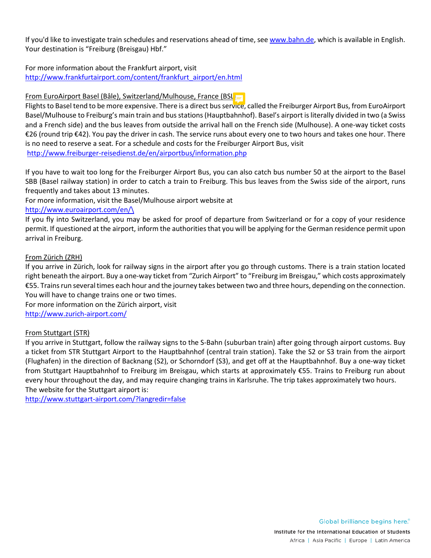If you'd like to investigate train schedules and reservations ahead of time, see [www.bahn.de,](http://www.bahn.de/) which is available in English. Your destination is "Freiburg (Breisgau) Hbf."

For more information about the Frankfurt airport, visit [http://www.frankfurtairport.com/content/frankfurt\\_airport/en.html](http://www.frankfurtairport.com/content/frankfurt_airport/en.html)

#### From EuroAirport Basel (Bâle), Switzerland/Mulhouse, France (BSL)

Flights to Basel tend to be more expensive. There is a direct bus service, called the Freiburger Airport Bus, from EuroAirport Basel/Mulhouse to Freiburg's main train and bus stations (Hauptbahnhof). Basel's airport is literally divided in two (a Swiss and a French side) and the bus leaves from outside the arrival hall on the French side (Mulhouse). A one-way ticket costs €26 (round trip €42). You pay the driver in cash. The service runs about every one to two hours and takes one hour. There is no need to reserve a seat. For a schedule and costs for the Freiburger Airport Bus, visit [http://www.freiburger-reisedienst.de/en/airportbus/information.php](http://www.freiburger%E2%80%90reisedienst.de/en/airportbus/information.php)

If you have to wait too long for the Freiburger Airport Bus, you can also catch bus number 50 at the airport to the Basel SBB (Basel railway station) in order to catch a train to Freiburg. This bus leaves from the Swiss side of the airport, runs frequently and takes about 13 minutes.

For more information, visit the Basel/Mulhouse airport website at

#### [http://www.euroairport.com/en/\](http://www.euroairport.com/en/)

If you fly into Switzerland, you may be asked for proof of departure from Switzerland or for a copy of your residence permit. If questioned at the airport, inform the authorities that you will be applying for the German residence permit upon arrival in Freiburg.

#### From Zürich (ZRH)

If you arrive in Zürich, look for railway signs in the airport after you go through customs. There is a train station located right beneath the airport. Buy a one-way ticket from "Zurich Airport" to "Freiburg im Breisgau," which costs approximately €55. Trains run several times each hour and the journey takes between two and three hours, depending on the connection. You will have to change trains one or two times.

For more information on the Zürich airport, visit [http://www.zurich-airport.com/](http://www.zurich%E2%80%90airport.com/)

## From Stuttgart (STR)

If you arrive in Stuttgart, follow the railway signs to the S-Bahn (suburban train) after going through airport customs. Buy a ticket from STR Stuttgart Airport to the Hauptbahnhof (central train station). Take the S2 or S3 train from the airport (Flughafen) in the direction of Backnang (S2), or Schorndorf (S3), and get off at the Hauptbahnhof. Buy a one-way ticket from Stuttgart Hauptbahnhof to Freiburg im Breisgau, which starts at approximately €55. Trains to Freiburg run about every hour throughout the day, and may require changing trains in Karlsruhe. The trip takes approximately two hours. The website for the Stuttgart airport is:

[http://www.stuttgart-airport.com/?langredir=false](http://www.stuttgart%E2%80%90airport.com/?langredir=false)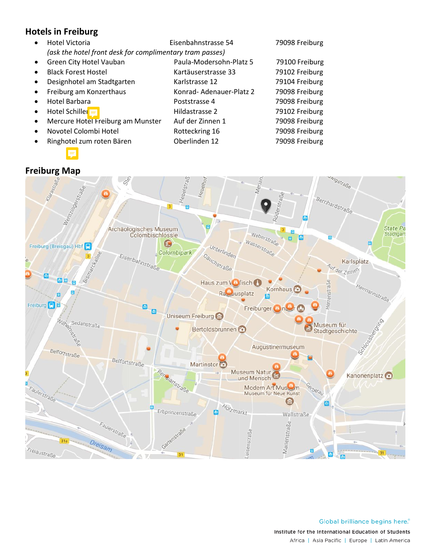# **Hotels in Freiburg**

• Hotel Victoria Eisenbahnstrasse 54 79098 Freiburg *(ask the hotel front desk for complimentary tram passes)* Green City Hotel Vauban Paula-Modersohn-Platz 5 79100 Freiburg • Black Forest Hostel Kartäuserstrasse 33 79102 Freiburg • Designhotel am Stadtgarten Karlstrasse 12 79104 Freiburg • Freiburg am Konzerthaus **Konrad- Adenauer-Platz 2** 79098 Freiburg • Hotel Barbara Poststrasse 4 79098 Freiburg • Hotel Schiller Hildastrasse 2 79102 Freiburg • Mercure Hotel Freiburg am Munster Auf der Zinnen 1 79098 Freiburg Novotel Colombi Hotel **Franch Rotteckring 16** 79098 Freiburg • Ringhotel zum roten Bären Oberlinden 12 79098 Freiburg

## **Freiburg Map**



Global brilliance begins here.<sup>®</sup> Institute for the International Education of Students Africa | Asia Pacific | Europe | Latin America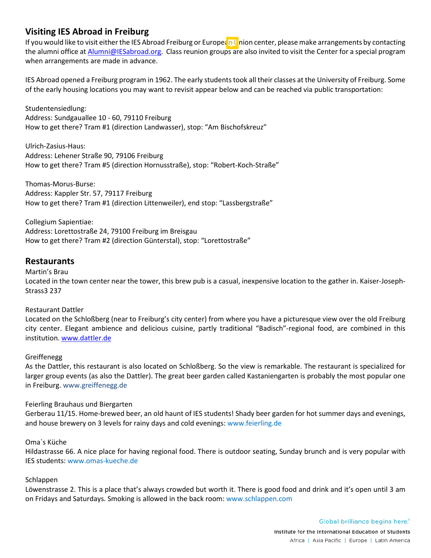## **Visiting IES Abroad in Freiburg**

If you would like to visit either the IES Abroad Freiburg or European Union center, please make arrangements by contacting the alumni office a[t Alumni@IESabroad.org.](mailto:Alumni@IESabroad.org) Class reunion groups are also invited to visit the Center for a special program when arrangements are made in advance.

IES Abroad opened a Freiburg program in 1962. The early students took all their classes at the University of Freiburg. Some of the early housing locations you may want to revisit appear below and can be reached via public transportation:

Studentensiedlung: Address: Sundgauallee 10 - 60, 79110 Freiburg How to get there? Tram #1 (direction Landwasser), stop: "Am Bischofskreuz"

Ulrich-Zasius-Haus: Address: Lehener Straße 90, 79106 Freiburg How to get there? Tram #5 (direction Hornusstraße), stop: "Robert-Koch-Straße"

Thomas-Morus-Burse: Address: Kappler Str. 57, 79117 Freiburg How to get there? Tram #1 (direction Littenweiler), end stop: "Lassbergstraße"

Collegium Sapientiae: Address: Lorettostraße 24, 79100 Freiburg im Breisgau How to get there? Tram #2 (direction Günterstal), stop: "Lorettostraße"

## **Restaurants**

Martin's Brau Located in the town center near the tower, this brew pub is a casual, inexpensive location to the gather in. Kaiser-Joseph-Strass3 237

## Restaurant Dattler

Located on the Schloßberg (near to Freiburg's city center) from where you have a picturesque view over the old Freiburg city center. Elegant ambience and delicious cuisine, partly traditional "Badisch"-regional food, are combined in this institution. [www.dattler.de](http://www.dattler.de/)

## Greiffenegg

As the Dattler, this restaurant is also located on Schloßberg. So the view is remarkable. The restaurant is specialized for larger group events (as also the Dattler). The great beer garden called Kastaniengarten is probably the most popular one in Freiburg. www.greiffenegg.de

## Feierling Brauhaus und Biergarten

Gerberau 11/15. Home-brewed beer, an old haunt of IES students! Shady beer garden for hot summer days and evenings, and house brewery on 3 levels for rainy days and cold evenings: www.feierling.de

## Oma`s Küche

Hildastrasse 66. A nice place for having regional food. There is outdoor seating, Sunday brunch and is very popular with IES students: www.omas-kueche.de

#### Schlappen

Löwenstrasse 2. This is a place that's always crowded but worth it. There is good food and drink and it's open until 3 am on Fridays and Saturdays. Smoking is allowed in the back room: www.schlappen.com